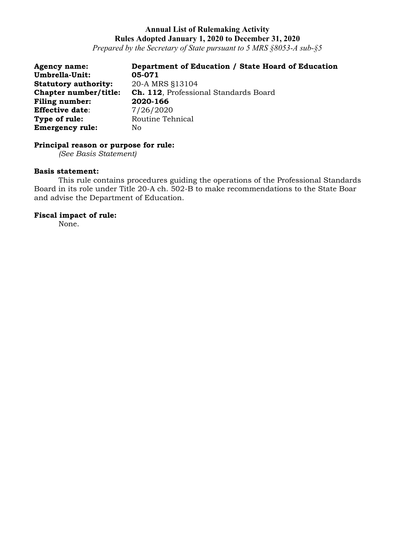*Prepared by the Secretary of State pursuant to 5 MRS §8053-A sub-§5*

| <b>Agency name:</b>         | Department of Education / State Hoard of Education |
|-----------------------------|----------------------------------------------------|
| Umbrella-Unit:              | 05-071                                             |
| <b>Statutory authority:</b> | 20-A MRS §13104                                    |
| Chapter number/title:       | <b>Ch. 112.</b> Professional Standards Board       |
| Filing number:              | 2020-166                                           |
| <b>Effective date:</b>      | 7/26/2020                                          |
| Type of rule:               | Routine Tehnical                                   |
| <b>Emergency rule:</b>      | No.                                                |

# **Principal reason or purpose for rule:**

*(See Basis Statement)*

### **Basis statement:**

This rule contains procedures guiding the operations of the Professional Standards Board in its role under Title 20-A ch. 502-B to make recommendations to the State Boar and advise the Department of Education.

# **Fiscal impact of rule:**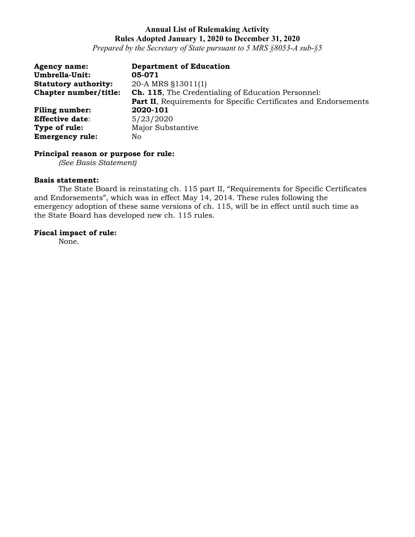*Prepared by the Secretary of State pursuant to 5 MRS §8053-A sub-§5*

| <b>Agency name:</b>         | <b>Department of Education</b>                                   |
|-----------------------------|------------------------------------------------------------------|
| Umbrella-Unit:              | 05-071                                                           |
| <b>Statutory authority:</b> | 20-A MRS §13011(1)                                               |
| Chapter number/title:       | <b>Ch. 115.</b> The Credentialing of Education Personnel:        |
|                             | Part II, Requirements for Specific Certificates and Endorsements |
| <b>Filing number:</b>       | 2020-101                                                         |
| <b>Effective date:</b>      | 5/23/2020                                                        |
| Type of rule:               | Major Substantive                                                |
| <b>Emergency rule:</b>      | No                                                               |

# **Principal reason or purpose for rule:**

*(See Basis Statement)*

## **Basis statement:**

The State Board is reinstating ch. 115 part II, "Requirements for Specific Certificates and Endorsements", which was in effect May 14, 2014. These rules following the emergency adoption of these same versions of ch. 115, will be in effect until such time as the State Board has developed new ch. 115 rules.

# **Fiscal impact of rule:**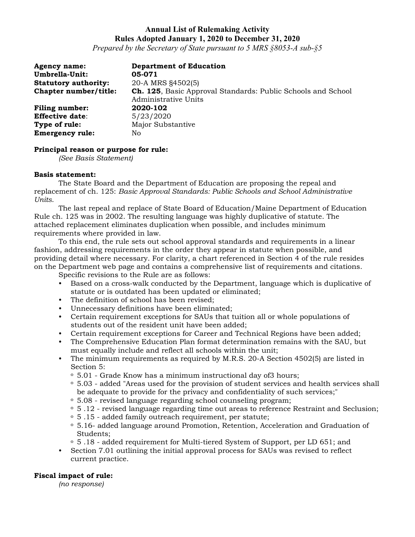*Prepared by the Secretary of State pursuant to 5 MRS §8053-A sub-§5*

| <b>Agency name:</b><br><b>Umbrella-Unit:</b> | <b>Department of Education</b><br>05-071                                                     |
|----------------------------------------------|----------------------------------------------------------------------------------------------|
| <b>Statutory authority:</b>                  | 20-A MRS §4502(5)                                                                            |
| Chapter number/title:                        | <b>Ch. 125</b> , Basic Approval Standards: Public Schools and School<br>Administrative Units |
| <b>Filing number:</b>                        | 2020-102                                                                                     |
| <b>Effective date:</b>                       | 5/23/2020                                                                                    |
| Type of rule:                                | Major Substantive                                                                            |
| <b>Emergency rule:</b>                       | No.                                                                                          |

### **Principal reason or purpose for rule:**

*(See Basis Statement)*

#### **Basis statement:**

The State Board and the Department of Education are proposing the repeal and replacement of ch. 125: *Basic Approval Standards: Public Schools and School Administrative Units*.

The last repeal and replace of State Board of Education/Maine Department of Education Rule ch. 125 was in 2002. The resulting language was highly duplicative of statute. The attached replacement eliminates duplication when possible, and includes minimum requirements where provided in law.

To this end, the rule sets out school approval standards and requirements in a linear fashion, addressing requirements in the order they appear in statute when possible, and providing detail where necessary. For clarity, a chart referenced in Section 4 of the rule resides on the Department web page and contains a comprehensive list of requirements and citations.

Specific revisions to the Rule are as follows:

- Based on a cross-walk conducted by the Department, language which is duplicative of statute or is outdated has been updated or eliminated;
- The definition of school has been revised:
- Unnecessary definitions have been eliminated;
- Certain requirement exceptions for SAUs that tuition all or whole populations of students out of the resident unit have been added;
- Certain requirement exceptions for Career and Technical Regions have been added;
- The Comprehensive Education Plan format determination remains with the SAU, but must equally include and reflect all schools within the unit;
- The minimum requirements as required by M.R.S. 20-A Section 4502(5) are listed in Section 5:
	-
	- $\degree$  5.01 Grade Know has a minimum instructional day of 3 hours;<br> $\degree$  5.03 added "Areas used for the provision of student services and health services shall be adequate to provide for the privacy and confidentiality of such services;"
	-
	- $\degree$  5.08 revised language regarding school counseling program;<br> $\degree$  5.12 revised language regarding time out areas to reference Restraint and Seclusion;<br> $\degree$  5.15 added family outreach requirement, per statute;<br> $\$
	-
	- Students;
	- <sup>o</sup> 5 .18 added requirement for Multi-tiered System of Support, per LD 651; and
- Section 7.01 outlining the initial approval process for SAUs was revised to reflect current practice.

### **Fiscal impact of rule:**

*(no response)*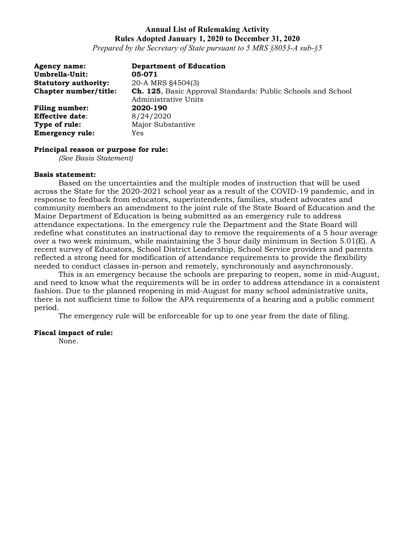*Prepared by the Secretary of State pursuant to 5 MRS §8053-A sub-§5*

| <b>Agency name:</b><br><b>Umbrella-Unit:</b> | <b>Department of Education</b><br>05-071                                                     |
|----------------------------------------------|----------------------------------------------------------------------------------------------|
| <b>Statutory authority:</b>                  | 20-A MRS §4504(3)                                                                            |
| Chapter number/title:                        | <b>Ch. 125</b> , Basic Approval Standards: Public Schools and School<br>Administrative Units |
| <b>Filing number:</b>                        | 2020-190                                                                                     |
| <b>Effective date:</b>                       | 8/24/2020                                                                                    |
| Type of rule:                                | Major Substantive                                                                            |
| <b>Emergency rule:</b>                       | Yes                                                                                          |

#### **Principal reason or purpose for rule:**

*(See Basis Statement)*

#### **Basis statement:**

Based on the uncertainties and the multiple modes of instruction that will be used across the State for the 2020-2021 school year as a result of the COVID-19 pandemic, and in response to feedback from educators, superintendents, families, student advocates and community members an amendment to the joint rule of the State Board of Education and the Maine Department of Education is being submitted as an emergency rule to address attendance expectations. In the emergency rule the Department and the State Board will redefine what constitutes an instructional day to remove the requirements of a 5 hour average over a two week minimum, while maintaining the 3 hour daily minimum in Section  $5.01(E)$ . A recent survey of Educators, School District Leadership, School Service providers and parents reflected a strong need for modification of attendance requirements to provide the flexibility needed to conduct classes in-person and remotely, synchronously and asynchronously.

This is an emergency because the schools are preparing to reopen, some in mid-August, and need to know what the requirements will be in order to address attendance in a consistent fashion. Due to the planned reopening in mid-August for many school administrative units, there is not sufficient time to follow the APA requirements of a hearing and a public comment period.

The emergency rule will be enforceable for up to one year from the date of filing.

#### **Fiscal impact of rule:**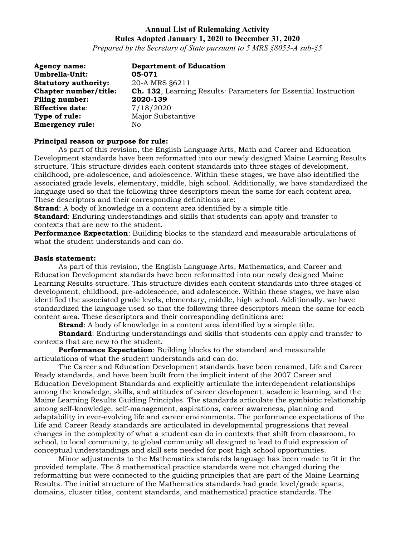*Prepared by the Secretary of State pursuant to 5 MRS §8053-A sub-§5*

| <b>Agency name:</b>         | <b>Department of Education</b>                                         |
|-----------------------------|------------------------------------------------------------------------|
| Umbrella-Unit:              | 05-071                                                                 |
| <b>Statutory authority:</b> | 20-A MRS §6211                                                         |
| Chapter number/title:       | <b>Ch. 132.</b> Learning Results: Parameters for Essential Instruction |
| <b>Filing number:</b>       | 2020-139                                                               |
| <b>Effective date:</b>      | 7/18/2020                                                              |
| Type of rule:               | Major Substantive                                                      |
| <b>Emergency rule:</b>      | No                                                                     |

#### **Principal reason or purpose for rule:**

As part of this revision, the English Language Arts, Math and Career and Education Development standards have been reformatted into our newly designed Maine Learning Results structure. This structure divides each content standards into three stages of development, childhood, pre-adolescence, and adolescence. Within these stages, we have also identified the associated grade levels, elementary, middle, high school. Additionally, we have standardized the language used so that the following three descriptors mean the same for each content area. These descriptors and their corresponding definitions are:

**Strand**: A body of knowledge in a content area identified by a simple title.

**Standard**: Enduring understandings and skills that students can apply and transfer to contexts that are new to the student.

**Performance Expectation**: Building blocks to the standard and measurable articulations of what the student understands and can do.

#### **Basis statement:**

As part of this revision, the English Language Arts, Mathematics, and Career and Education Development standards have been reformatted into our newly designed Maine Learning Results structure. This structure divides each content standards into three stages of development, childhood, pre-adolescence, and adolescence. Within these stages, we have also identified the associated grade levels, elementary, middle, high school. Additionally, we have standardized the language used so that the following three descriptors mean the same for each content area. These descriptors and their corresponding definitions are:

**Strand**: A body of knowledge in a content area identified by a simple title.

**Standard**: Enduring understandings and skills that students can apply and transfer to contexts that are new to the student.

**Performance Expectation**: Building blocks to the standard and measurable articulations of what the student understands and can do.

The Career and Education Development standards have been renamed, Life and Career Ready standards, and have been built from the implicit intent of the 2007 Career and Education Development Standards and explicitly articulate the interdependent relationships among the knowledge, skills, and attitudes of career development, academic learning, and the Maine Learning Results Guiding Principles. The standards articulate the symbiotic relationship among self-knowledge, self-management, aspirations, career awareness, planning and adaptability in ever-evolving life and career environments. The performance expectations of the Life and Career Ready standards are articulated in developmental progressions that reveal changes in the complexity of what a student can do in contexts that shift from classroom, to school, to local community, to global community all designed to lead to fluid expression of conceptual understandings and skill sets needed for post high school opportunities.

Minor adjustments to the Mathematics standards language has been made to fit in the provided template. The 8 mathematical practice standards were not changed during the reformatting but were connected to the guiding principles that are part of the Maine Learning Results. The initial structure of the Mathematics standards had grade level/grade spans, domains, cluster titles, content standards, and mathematical practice standards. The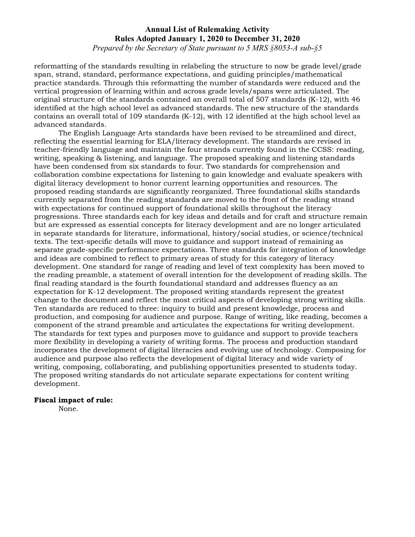*Prepared by the Secretary of State pursuant to 5 MRS §8053-A sub-§5*

reformatting of the standards resulting in relabeling the structure to now be grade level/grade span, strand, standard, performance expectations, and guiding principles/mathematical practice standards. Through this reformatting the number of standards were reduced and the vertical progression of learning within and across grade levels/spans were articulated. The original structure of the standards contained an overall total of 507 standards  $(K-12)$ , with 46 identified at the high school level as advanced standards. The new structure of the standards contains an overall total of 109 standards (K-12), with 12 identified at the high school level as advanced standards.

The English Language Arts standards have been revised to be streamlined and direct, reflecting the essential learning for ELA/literacy development. The standards are revised in teacher-friendly language and maintain the four strands currently found in the CCSS: reading, writing, speaking & listening, and language. The proposed speaking and listening standards have been condensed from six standards to four. Two standards for comprehension and collaboration combine expectations for listening to gain knowledge and evaluate speakers with digital literacy development to honor current learning opportunities and resources. The proposed reading standards are significantly reorganized. Three foundational skills standards currently separated from the reading standards are moved to the front of the reading strand with expectations for continued support of foundational skills throughout the literacy progressions. Three standards each for key ideas and details and for craft and structure remain but are expressed as essential concepts for literacy development and are no longer articulated in separate standards for literature, informational, history/social studies, or science/technical texts. The text-specific details will move to guidance and support instead of remaining as separate grade-specific performance expectations. Three standards for integration of knowledge and ideas are combined to reflect to primary areas of study for this category of literacy development. One standard for range of reading and level of text complexity has been moved to the reading preamble, a statement of overall intention for the development of reading skills. The final reading standard is the fourth foundational standard and addresses fluency as an expectation for K-12 development. The proposed writing standards represent the greatest change to the document and reflect the most critical aspects of developing strong writing skills. Ten standards are reduced to three: inquiry to build and present knowledge, process and production, and composing for audience and purpose. Range of writing, like reading, becomes a component of the strand preamble and articulates the expectations for writing development. The standards for text types and purposes move to guidance and support to provide teachers more flexibility in developing a variety of writing forms. The process and production standard incorporates the development of digital literacies and evolving use of technology. Composing for audience and purpose also reflects the development of digital literacy and wide variety of writing, composing, collaborating, and publishing opportunities presented to students today. The proposed writing standards do not articulate separate expectations for content writing development.

#### **Fiscal impact of rule:**